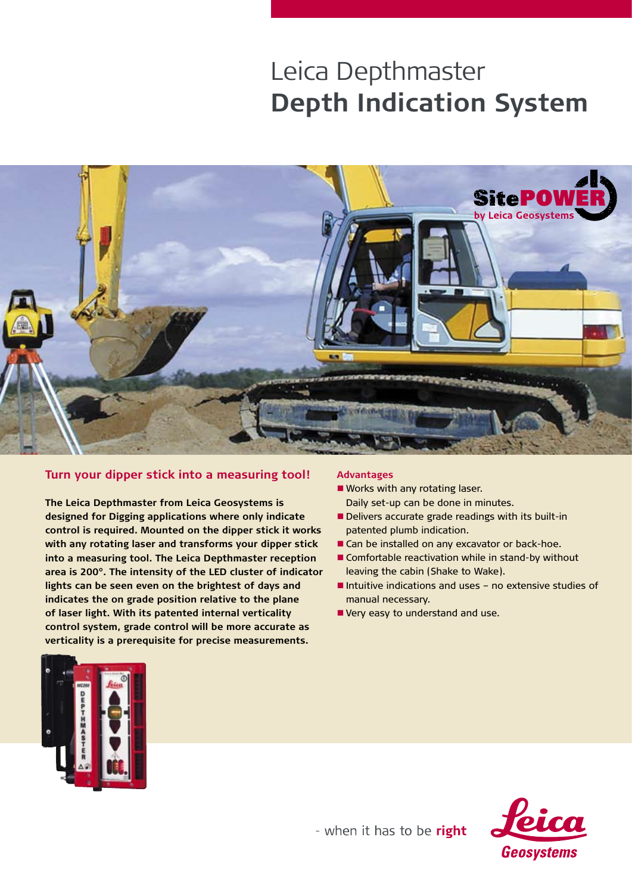# Leica Depthmaster **Depth Indication System**



# **Turn your dipper stick into a measuring tool!**

**The Leica Depthmaster from Leica Geosystems is designed for Digging applications where only indicate control is required. Mounted on the dipper stick it works with any rotating laser and transforms your dipper stick into a measuring tool. The Leica Depthmaster reception area is 200°. The intensity of the LED cluster of indicator lights can be seen even on the brightest of days and indicates the on grade position relative to the plane of laser light. With its patented internal verticality control system, grade control will be more accurate as verticality is a prerequisite for precise measurements.** 

#### **Advantages**

- Works with any rotating laser. Daily set-up can be done in minutes.
- **Delivers accurate grade readings with its built-in** patented plumb indication.
- Can be installed on any excavator or back-hoe.
- Comfortable reactivation while in stand-by without leaving the cabin (Shake to Wake).
- $\blacksquare$  Intuitive indications and uses  $\lnot$  no extensive studies of manual necessary.
- Very easy to understand and use.





- when it has to be right